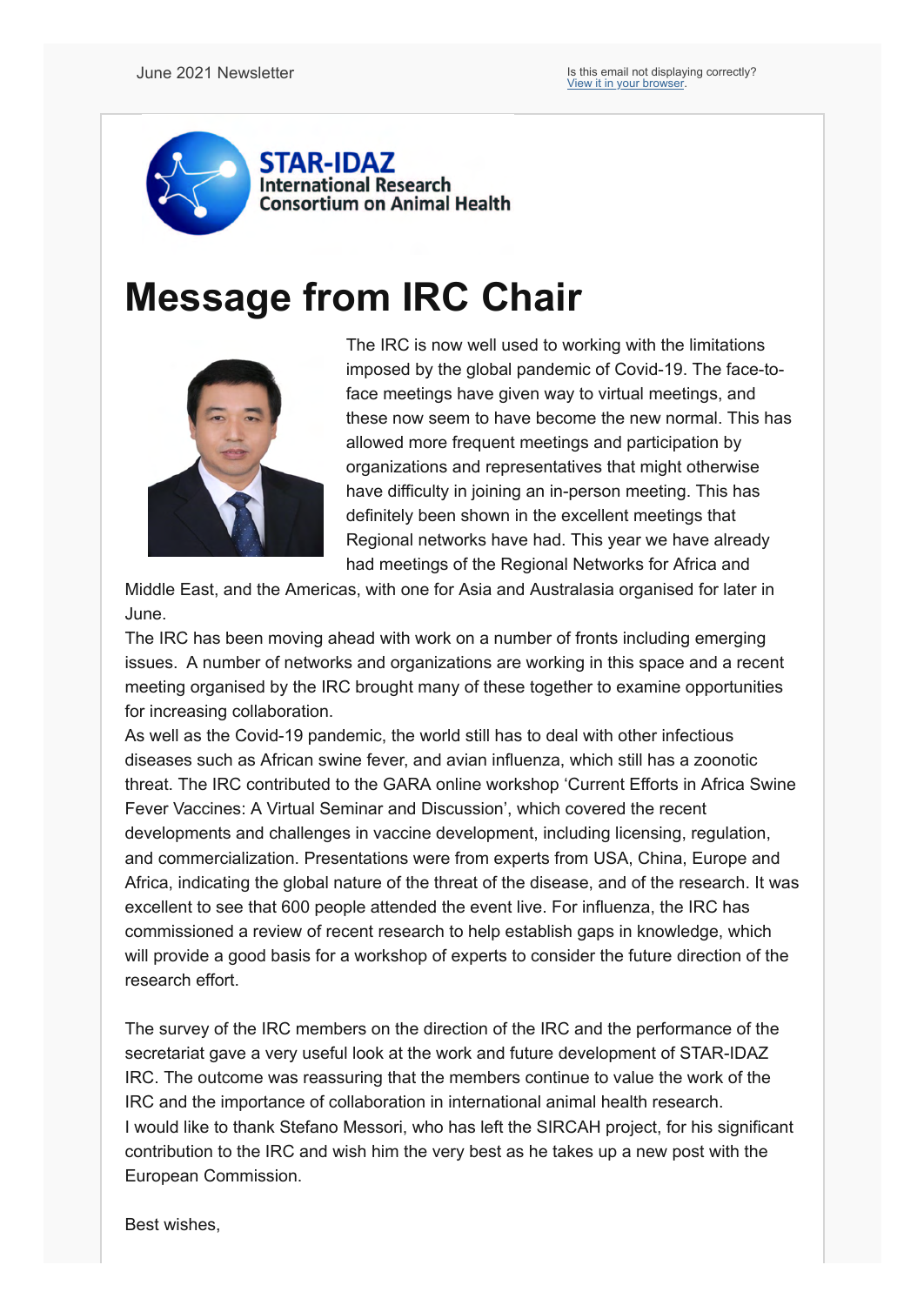

# **Message from IRC Chair**



The IRC is now well used to working with the limitations imposed by the global pandemic of Covid-19. The face-toface meetings have given way to virtual meetings, and these now seem to have become the new normal. This has allowed more frequent meetings and participation by organizations and representatives that might otherwise have difficulty in joining an in-person meeting. This has definitely been shown in the excellent meetings that Regional networks have had. This year we have already had meetings of the Regional Networks for Africa and

Middle East, and the Americas, with one for Asia and Australasia organised for later in June.

The IRC has been moving ahead with work on a number of fronts including emerging issues. A number of networks and organizations are working in this space and a recent meeting organised by the IRC brought many of these together to examine opportunities for increasing collaboration.

As well as the Covid-19 pandemic, the world still has to deal with other infectious diseases such as African swine fever, and avian influenza, which still has a zoonotic threat. The IRC contributed to the GARA online workshop 'Current Efforts in Africa Swine Fever Vaccines: A Virtual Seminar and Discussion', which covered the recent developments and challenges in vaccine development, including licensing, regulation, and commercialization. Presentations were from experts from USA, China, Europe and Africa, indicating the global nature of the threat of the disease, and of the research. It was excellent to see that 600 people attended the event live. For influenza, the IRC has commissioned a review of recent research to help establish gaps in knowledge, which will provide a good basis for a workshop of experts to consider the future direction of the research effort.

The survey of the IRC members on the direction of the IRC and the performance of the secretariat gave a very useful look at the work and future development of STAR-IDAZ IRC. The outcome was reassuring that the members continue to value the work of the IRC and the importance of collaboration in international animal health research. I would like to thank Stefano Messori, who has left the SIRCAH project, for his significant contribution to the IRC and wish him the very best as he takes up a new post with the European Commission.

Best wishes,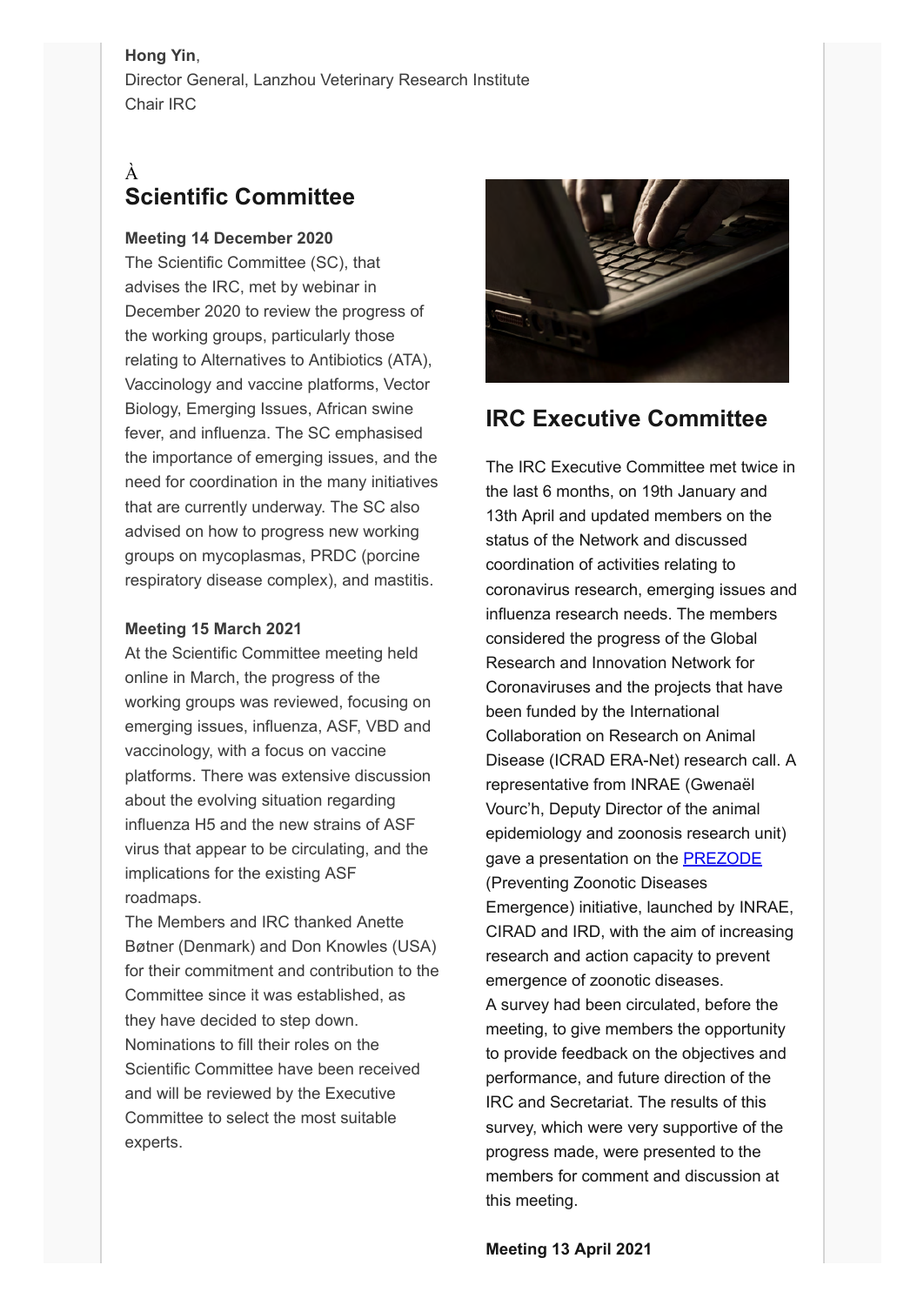### **Hong Yin**,

Director General, Lanzhou Veterinary Research Institute Chair IRC

## À **Scientific Committee**

### **Meeting 14 December 2020**

The Scientific Committee (SC), that advises the IRC, met by webinar in December 2020 to review the progress of the working groups, particularly those relating to Alternatives to Antibiotics (ATA), Vaccinology and vaccine platforms, Vector Biology, Emerging Issues, African swine fever, and influenza. The SC emphasised the importance of emerging issues, and the need for coordination in the many initiatives that are currently underway. The SC also advised on how to progress new working groups on mycoplasmas, PRDC (porcine respiratory disease complex), and mastitis.

### **Meeting 15 March 2021**

At the Scientific Committee meeting held online in March, the progress of the working groups was reviewed, focusing on emerging issues, influenza, ASF, VBD and vaccinology, with a focus on vaccine platforms. There was extensive discussion about the evolving situation regarding influenza H5 and the new strains of ASF virus that appear to be circulating, and the implications for the existing ASF roadmaps.

The Members and IRC thanked Anette Bøtner (Denmark) and Don Knowles (USA) for their commitment and contribution to the Committee since it was established, as they have decided to step down. Nominations to fill their roles on the Scientific Committee have been received and will be reviewed by the Executive Committee to select the most suitable experts.



## **IRC Executive Committee**

The IRC Executive Committee met twice in the last 6 months, on 19th January and 13th April and updated members on the status of the Network and discussed coordination of activities relating to coronavirus research, emerging issues and influenza research needs. The members considered the progress of the Global Research and Innovation Network for Coronaviruses and the projects that have been funded by the International Collaboration on Research on Animal Disease (ICRAD ERA-Net) research call. A representative from INRAE (Gwenaël Vourc'h, Deputy Director of the animal epidemiology and zoonosis research unit) gave a presentation on the **PREZODE** (Preventing Zoonotic Diseases Emergence) initiative, launched by INRAE, CIRAD and IRD, with the aim of increasing research and action capacity to prevent emergence of zoonotic diseases. A survey had been circulated, before the meeting, to give members the opportunity to provide feedback on the objectives and performance, and future direction of the IRC and Secretariat. The results of this survey, which were very supportive of the progress made, were presented to the members for comment and discussion at this meeting.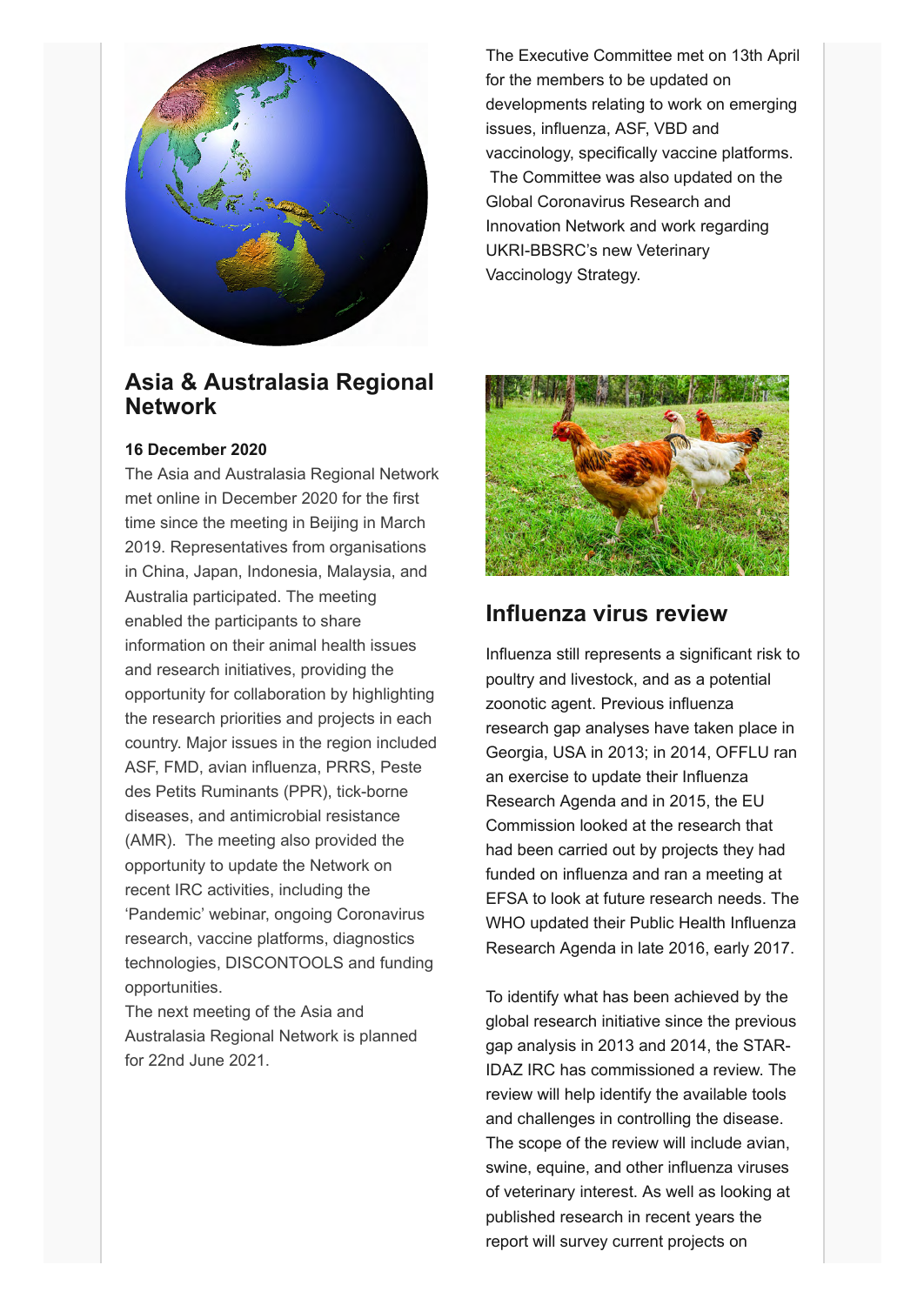

The Executive Committee met on 13th April for the members to be updated on developments relating to work on emerging issues, influenza, ASF, VBD and vaccinology, specifically vaccine platforms. The Committee was also updated on the Global Coronavirus Research and Innovation Network and work regarding UKRI-BBSRC's new Veterinary Vaccinology Strategy.

## **Asia & Australasia Regional Network**

### **16 December 2020**

The Asia and Australasia Regional Network met online in December 2020 for the first time since the meeting in Beijing in March 2019. Representatives from organisations in China, Japan, Indonesia, Malaysia, and Australia participated. The meeting enabled the participants to share information on their animal health issues and research initiatives, providing the opportunity for collaboration by highlighting the research priorities and projects in each country. Major issues in the region included ASF, FMD, avian influenza, PRRS, Peste des Petits Ruminants (PPR), tick-borne diseases, and antimicrobial resistance (AMR). The meeting also provided the opportunity to update the Network on recent IRC activities, including the 'Pandemic' webinar, ongoing Coronavirus research, vaccine platforms, diagnostics technologies, DISCONTOOLS and funding opportunities.

The next meeting of the Asia and Australasia Regional Network is planned for 22nd June 2021.



## **Influenza virus review**

Influenza still represents a significant risk to poultry and livestock, and as a potential zoonotic agent. Previous influenza research gap analyses have taken place in Georgia, USA in 2013; in 2014, OFFLU ran an exercise to update their Influenza Research Agenda and in 2015, the EU Commission looked at the research that had been carried out by projects they had funded on influenza and ran a meeting at EFSA to look at future research needs. The WHO updated their Public Health Influenza Research Agenda in late 2016, early 2017.

To identify what has been achieved by the global research initiative since the previous gap analysis in 2013 and 2014, the STAR-IDAZ IRC has commissioned a review. The review will help identify the available tools and challenges in controlling the disease. The scope of the review will include avian, swine, equine, and other influenza viruses of veterinary interest. As well as looking at published research in recent years the report will survey current projects on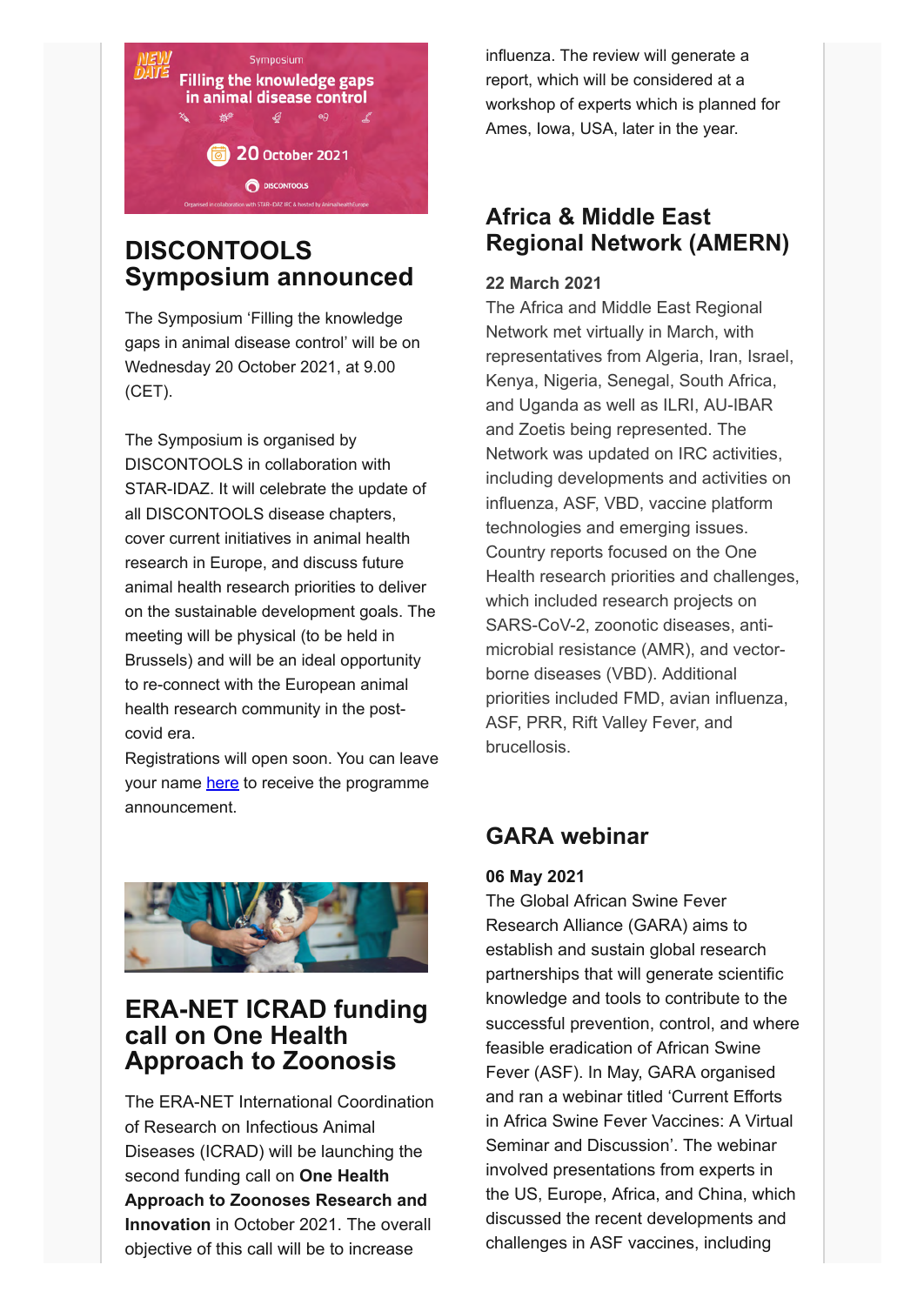

## **DISCONTOOLS Symposium announced**

The Symposium 'Filling the knowledge gaps in animal disease control' will be on Wednesday 20 October 2021, at 9.00 (CET).

The Symposium is organised by DISCONTOOLS in collaboration with STAR-IDAZ. It will celebrate the update of all DISCONTOOLS disease chapters, cover current initiatives in animal health research in Europe, and discuss future animal health research priorities to deliver on the sustainable development goals. The meeting will be physical (to be held in Brussels) and will be an ideal opportunity to re-connect with the European animal health research community in the postcovid era.

Registrations will open soon. You can leave your name [here](https://www.eventbrite.ie/e/new-date-filling-the-knowledge-gaps-in-animal-disease-control-tickets-158379424121) to receive the programme announcement.



## **ERA-NET ICRAD funding call on One Health Approach to Zoonosis**

The ERA-NET International Coordination of Research on Infectious Animal Diseases (ICRAD) will be launching the second funding call on **One Health Approach to Zoonoses Research and Innovation** in October 2021. The overall objective of this call will be to increase

influenza. The review will generate a report, which will be considered at a workshop of experts which is planned for Ames, Iowa, USA, later in the year.

## **Africa & Middle East Regional Network (AMERN)**

### **22 March 2021**

The Africa and Middle East Regional Network met virtually in March, with representatives from Algeria, Iran, Israel, Kenya, Nigeria, Senegal, South Africa, and Uganda as well as ILRI, AU-IBAR and Zoetis being represented. The Network was updated on IRC activities, including developments and activities on influenza, ASF, VBD, vaccine platform technologies and emerging issues. Country reports focused on the One Health research priorities and challenges, which included research projects on SARS-CoV-2, zoonotic diseases, antimicrobial resistance (AMR), and vectorborne diseases (VBD). Additional priorities included FMD, avian influenza, ASF, PRR, Rift Valley Fever, and brucellosis.

## **GARA webinar**

### **06 May 2021**

The Global African Swine Fever Research Alliance (GARA) aims to establish and sustain global research partnerships that will generate scientific knowledge and tools to contribute to the successful prevention, control, and where feasible eradication of African Swine Fever (ASF). In May, GARA organised and ran a webinar titled 'Current Efforts in Africa Swine Fever Vaccines: A Virtual Seminar and Discussion'. The webinar involved presentations from experts in the US, Europe, Africa, and China, which discussed the recent developments and challenges in ASF vaccines, including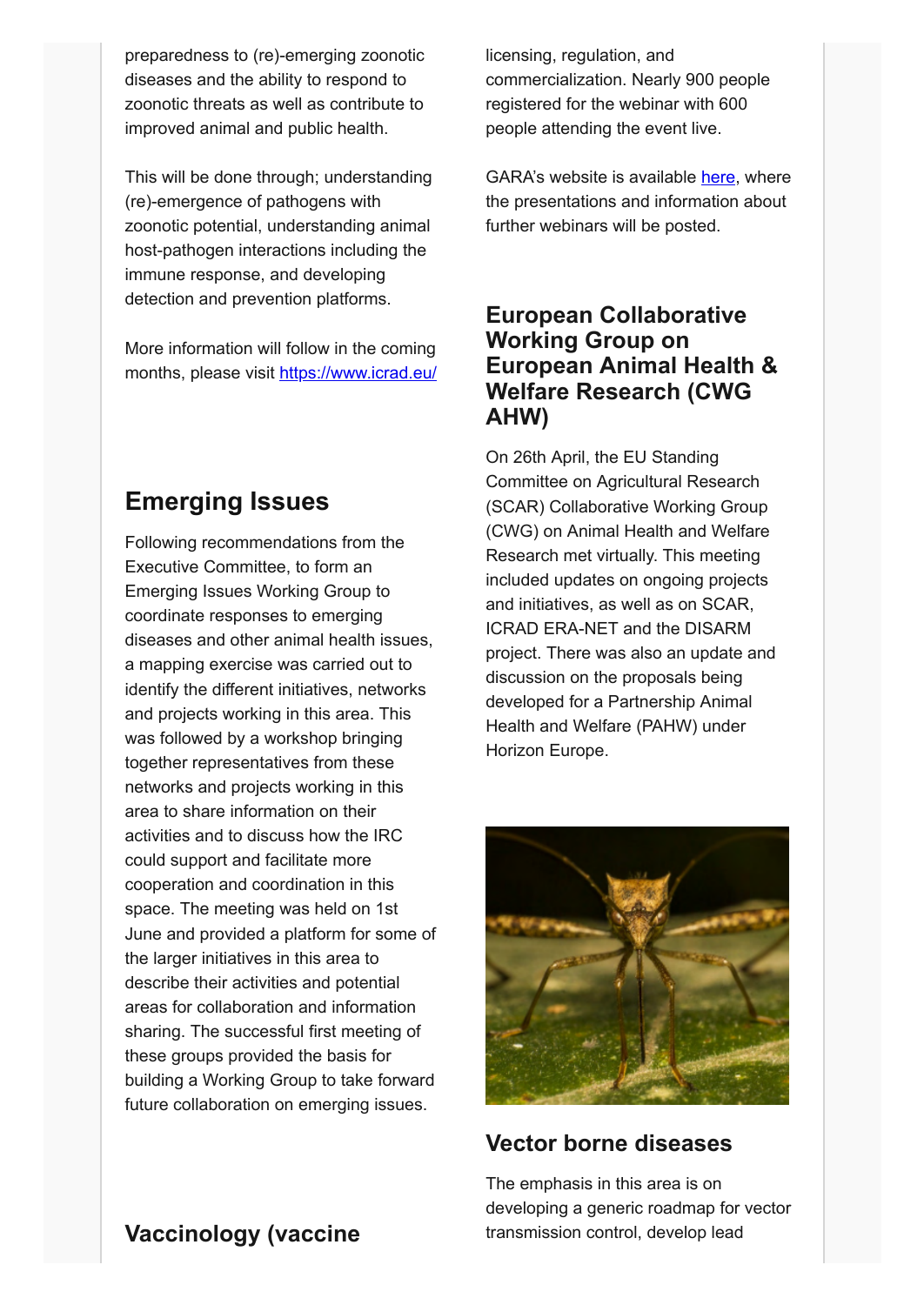preparedness to (re)-emerging zoonotic diseases and the ability to respond to zoonotic threats as well as contribute to improved animal and public health.

This will be done through; understanding (re)-emergence of pathogens with zoonotic potential, understanding animal host-pathogen interactions including the immune response, and developing detection and prevention platforms.

More information will follow in the coming months, please visit<https://www.icrad.eu/>

## **Emerging Issues**

Following recommendations from the Executive Committee, to form an Emerging Issues Working Group to coordinate responses to emerging diseases and other animal health issues, a mapping exercise was carried out to identify the different initiatives, networks and projects working in this area. This was followed by a workshop bringing together representatives from these networks and projects working in this area to share information on their activities and to discuss how the IRC could support and facilitate more cooperation and coordination in this space. The meeting was held on 1st June and provided a platform for some of the larger initiatives in this area to describe their activities and potential areas for collaboration and information sharing. The successful first meeting of these groups provided the basis for building a Working Group to take forward future collaboration on emerging issues.

licensing, regulation, and commercialization. Nearly 900 people registered for the webinar with 600 people attending the event live.

GARA's website is available [here,](https://www.ars.usda.gov/gara/) where the presentations and information about further webinars will be posted.

## **European Collaborative Working Group on European Animal Health & Welfare Research (CWG AHW)**

On 26th April, the EU Standing Committee on Agricultural Research (SCAR) Collaborative Working Group (CWG) on Animal Health and Welfare Research met virtually. This meeting included updates on ongoing projects and initiatives, as well as on SCAR, ICRAD ERA-NET and the DISARM project. There was also an update and discussion on the proposals being developed for a Partnership Animal Health and Welfare (PAHW) under Horizon Europe.



## **Vector borne diseases**

The emphasis in this area is on developing a generic roadmap for vector transmission control, develop lead

## **Vaccinology (vaccine**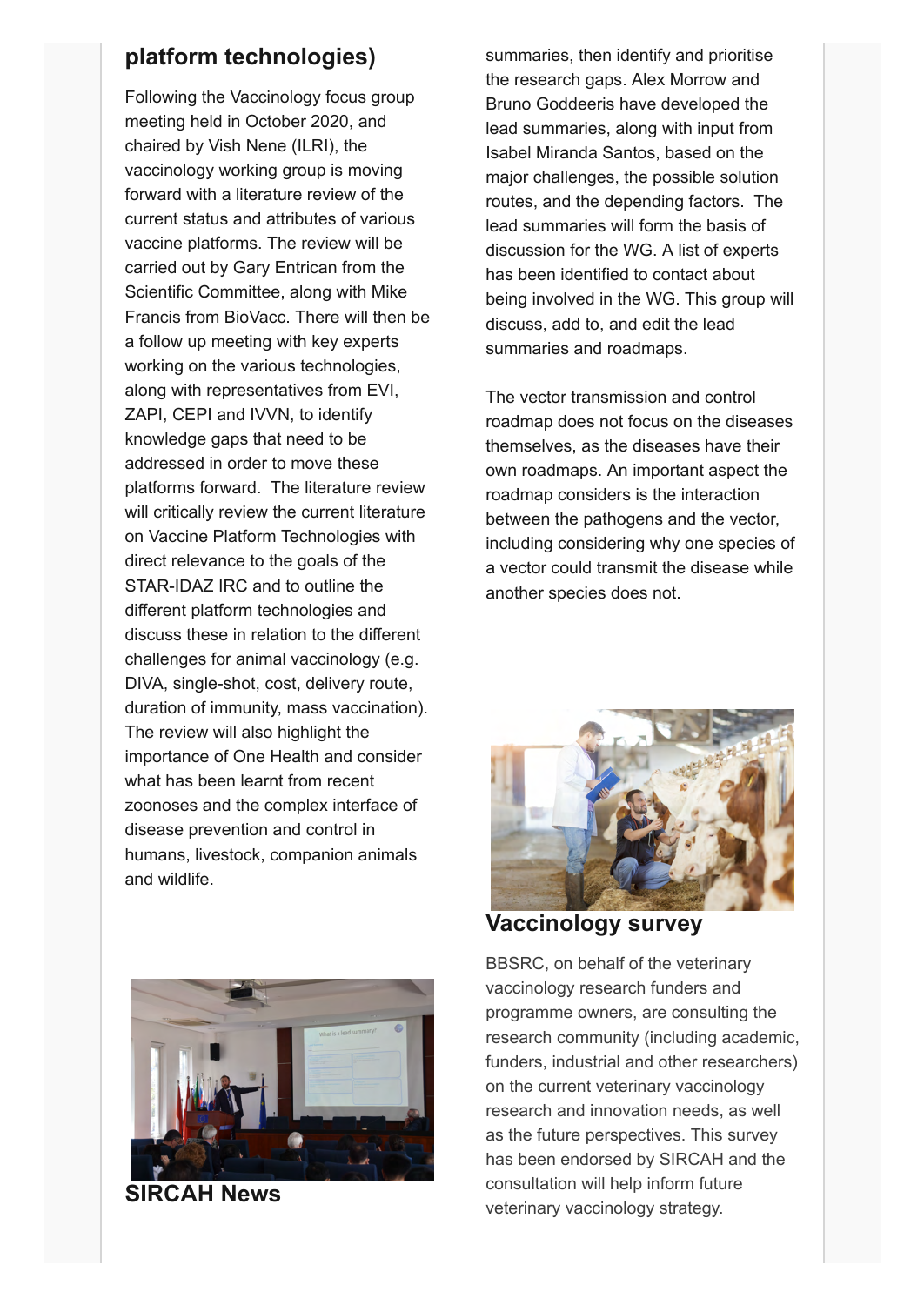## **platform technologies)**

Following the Vaccinology focus group meeting held in October 2020, and chaired by Vish Nene (ILRI), the vaccinology working group is moving forward with a literature review of the current status and attributes of various vaccine platforms. The review will be carried out by Gary Entrican from the Scientific Committee, along with Mike Francis from BioVacc. There will then be a follow up meeting with key experts working on the various technologies, along with representatives from EVI, ZAPI, CEPI and IVVN, to identify knowledge gaps that need to be addressed in order to move these platforms forward. The literature review will critically review the current literature on Vaccine Platform Technologies with direct relevance to the goals of the STAR-IDAZ IRC and to outline the different platform technologies and discuss these in relation to the different challenges for animal vaccinology (e.g. DIVA, single-shot, cost, delivery route, duration of immunity, mass vaccination). The review will also highlight the importance of One Health and consider what has been learnt from recent zoonoses and the complex interface of disease prevention and control in humans, livestock, companion animals and wildlife.



**SIRCAH News**

summaries, then identify and prioritise the research gaps. Alex Morrow and Bruno Goddeeris have developed the lead summaries, along with input from Isabel Miranda Santos, based on the major challenges, the possible solution routes, and the depending factors. The lead summaries will form the basis of discussion for the WG. A list of experts has been identified to contact about being involved in the WG. This group will discuss, add to, and edit the lead summaries and roadmaps.

The vector transmission and control roadmap does not focus on the diseases themselves, as the diseases have their own roadmaps. An important aspect the roadmap considers is the interaction between the pathogens and the vector, including considering why one species of a vector could transmit the disease while another species does not.



**Vaccinology survey**

BBSRC, on behalf of the veterinary vaccinology research funders and programme owners, are consulting the research community (including academic, funders, industrial and other researchers) on the current veterinary vaccinology research and innovation needs, as well as the future perspectives. This survey has been endorsed by SIRCAH and the consultation will help inform future veterinary vaccinology strategy.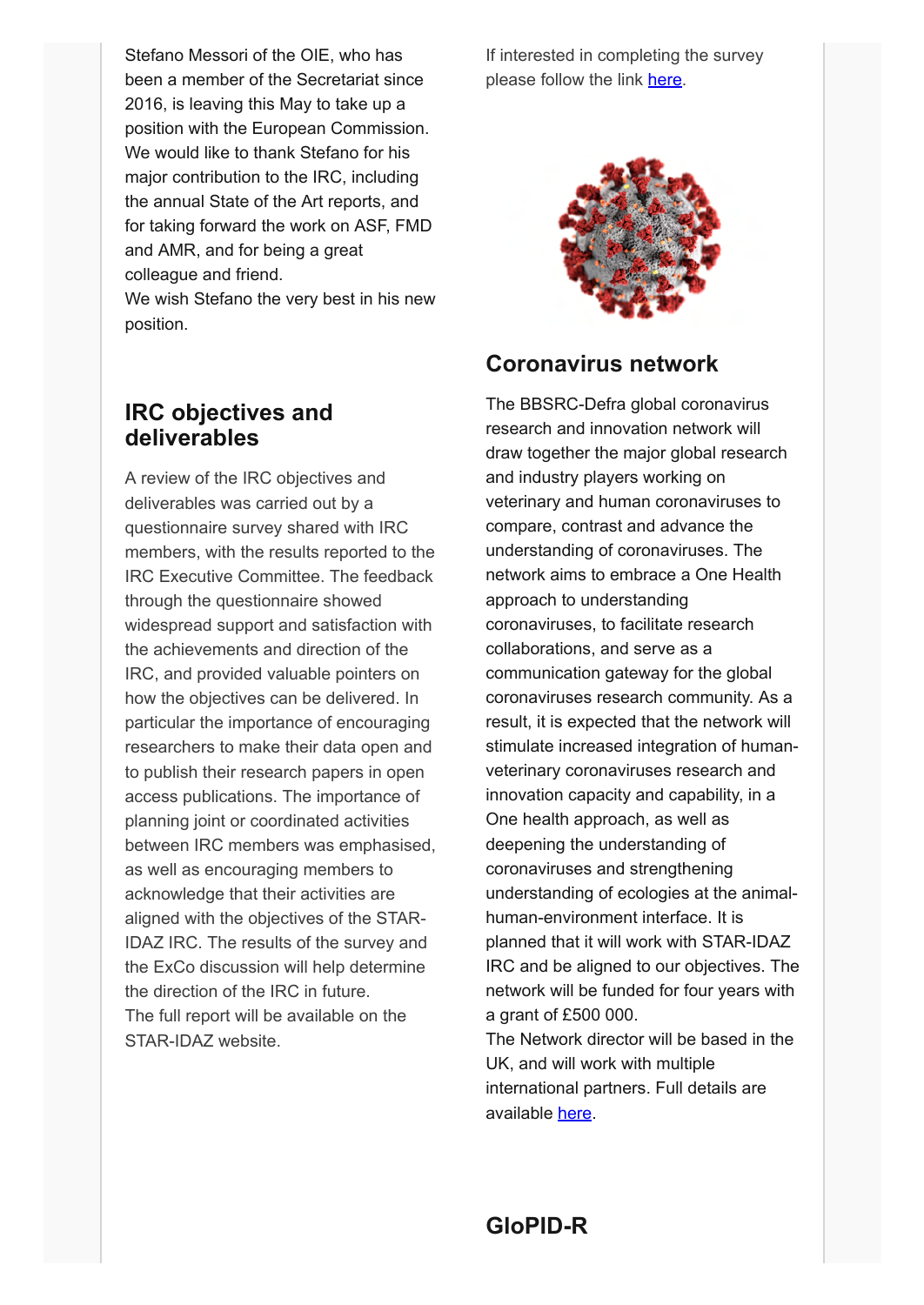Stefano Messori of the OIE, who has been a member of the Secretariat since 2016, is leaving this May to take up a position with the European Commission. We would like to thank Stefano for his major contribution to the IRC, including the annual State of the Art reports, and for taking forward the work on ASF, FMD and AMR, and for being a great colleague and friend.

We wish Stefano the very best in his new position.

## **IRC objectives and deliverables**

A review of the IRC objectives and deliverables was carried out by a questionnaire survey shared with IRC members, with the results reported to the IRC Executive Committee. The feedback through the questionnaire showed widespread support and satisfaction with the achievements and direction of the IRC, and provided valuable pointers on how the objectives can be delivered. In particular the importance of encouraging researchers to make their data open and to publish their research papers in open access publications. The importance of planning joint or coordinated activities between IRC members was emphasised, as well as encouraging members to acknowledge that their activities are aligned with the objectives of the STAR-IDAZ IRC. The results of the survey and the ExCo discussion will help determine the direction of the IRC in future. The full report will be available on the STAR-IDAZ website.

If interested in completing the survey please follow the link [here.](https://www.surveymonkey.co.uk/r/veterinaryvaccinologysurvey)



## **Coronavirus network**

The BBSRC-Defra global coronavirus research and innovation network will draw together the major global research and industry players working on veterinary and human coronaviruses to compare, contrast and advance the understanding of coronaviruses. The network aims to embrace a One Health approach to understanding coronaviruses, to facilitate research collaborations, and serve as a communication gateway for the global coronaviruses research community. As a result, it is expected that the network will stimulate increased integration of humanveterinary coronaviruses research and innovation capacity and capability, in a One health approach, as well as deepening the understanding of coronaviruses and strengthening understanding of ecologies at the animalhuman-environment interface. It is planned that it will work with STAR-IDAZ IRC and be aligned to our objectives. The network will be funded for four years with a grant of £500 000. The Network director will be based in the UK, and will work with multiple international partners. Full details are

available [here](https://www.ukri.org/opportunity/global-coronavirus-research-and-innovation-network/).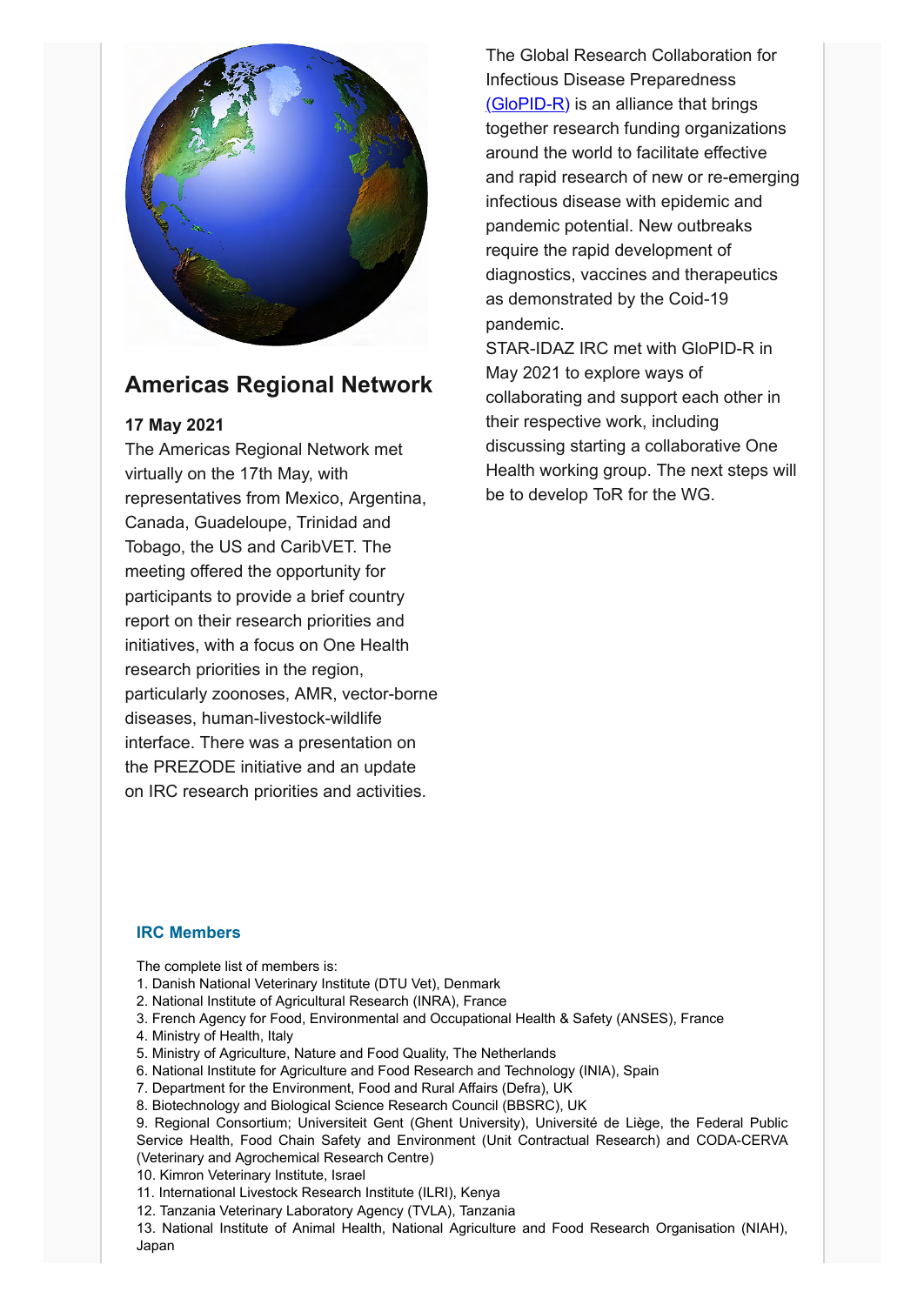

## **Americas Regional Network**

### **17 May 2021**

The Americas Regional Network met virtually on the 17th May, with representatives from Mexico, Argentina, Canada, Guadeloupe, Trinidad and Tobago, the US and CaribVET. The meeting offered the opportunity for participants to provide a brief country report on their research priorities and initiatives, with a focus on One Health research priorities in the region, particularly zoonoses, AMR, vector-borne diseases, human-livestock-wildlife interface. There was a presentation on the PREZODE initiative and an update on IRC research priorities and activities.

The Global Research Collaboration for Infectious Disease Preparedness [\(GloPID-R\)](https://www.glopid-r.org/) is an alliance that brings together research funding organizations around the world to facilitate effective and rapid research of new or re-emerging infectious disease with epidemic and pandemic potential. New outbreaks require the rapid development of diagnostics, vaccines and therapeutics as demonstrated by the Coid-19 pandemic.

STAR-IDAZ IRC met with GloPID-R in May 2021 to explore ways of collaborating and support each other in their respective work, including discussing starting a collaborative One Health working group. The next steps will be to develop ToR for the WG.

### **IRC Members**

The complete list of members is:

- 1. Danish National Veterinary Institute (DTU Vet), Denmark
- 2. National Institute of Agricultural Research (INRA), France
- 3. French Agency for Food, Environmental and Occupational Health & Safety (ANSES), France
- 4. Ministry of Health, Italy
- 5. Ministry of Agriculture, Nature and Food Quality, The Netherlands
- 6. National Institute for Agriculture and Food Research and Technology (INIA), Spain
- 7. Department for the Environment, Food and Rural Affairs (Defra), UK
- 8. Biotechnology and Biological Science Research Council (BBSRC), UK

9. Regional Consortium; Universiteit Gent (Ghent University), Université de Liège, the Federal Public Service Health, Food Chain Safety and Environment (Unit Contractual Research) and CODA-CERVA (Veterinary and Agrochemical Research Centre)

- 10. Kimron Veterinary Institute, Israel
- 11. International Livestock Research Institute (ILRI), Kenya
- 12. Tanzania Veterinary Laboratory Agency (TVLA), Tanzania

13. National Institute of Animal Health, National Agriculture and Food Research Organisation (NIAH), Japan